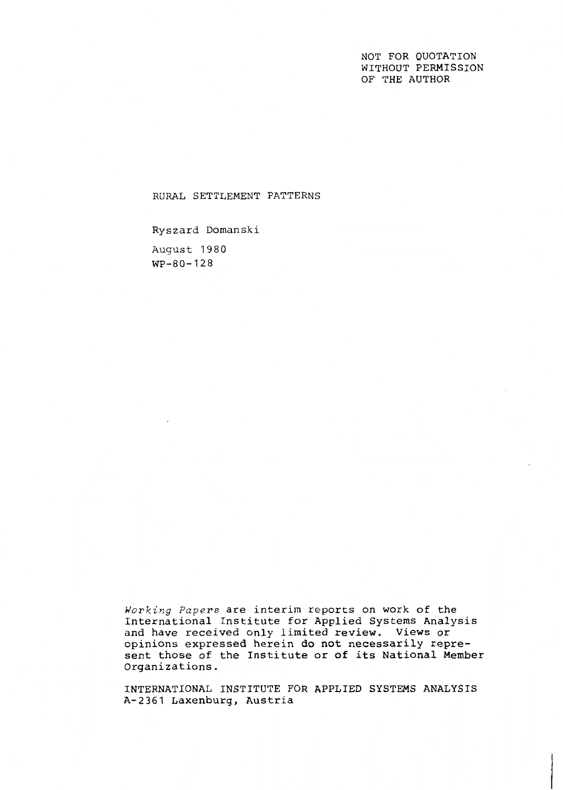NOT FOR QUOTATION WITHOUT PERMISSION OF THE AUTHOR

RURAL SETTLEMENT PATTERNS

Ryszard Domanski August 1980 WP-80-128

**Working** *Papers* are interim reports on work of the International Institute for Applied Systems Analysis and have received only limited review. Views or opinions expressed herein do not necessarily represent those of the Institute or of its National Member Organizations.

INTERNATIONAL INSTITUTE FOR APPLIED SYSTEMS ANALYSIS A-2361 Laxenburg, Austria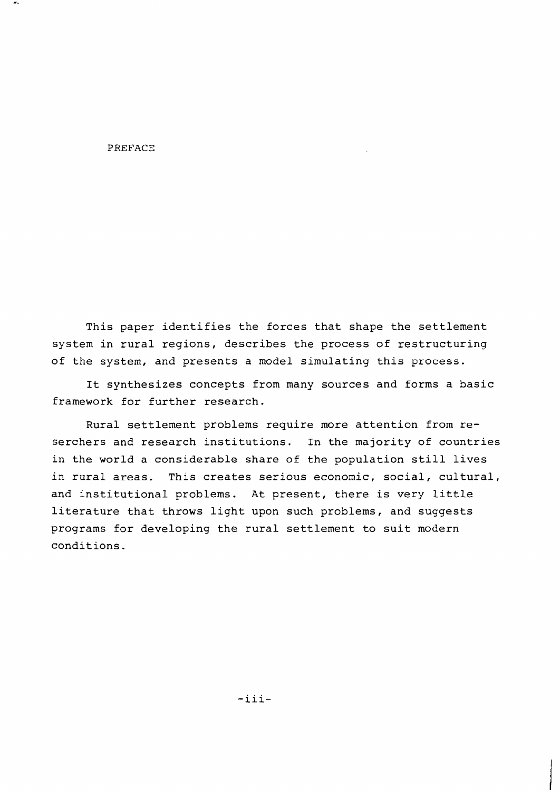#### PREFACE

This paper identifies the forces that shape the settlement system in rural regions, describes the process of restructuring of the system, and presents a model simulating this process.

It synthesizes concepts from many sources and forms a basic framework for further research.

Rural settlement problems require more attention from reserchers and research institutions. In the majority of countries in the world a considerable share of the population still lives in rural areas. This creates serious economic, social, cultural, and institutional problems. At present, there is very little literature that throws light upon such problems, and suggests programs for developing the rural settlement to suit modern conditions.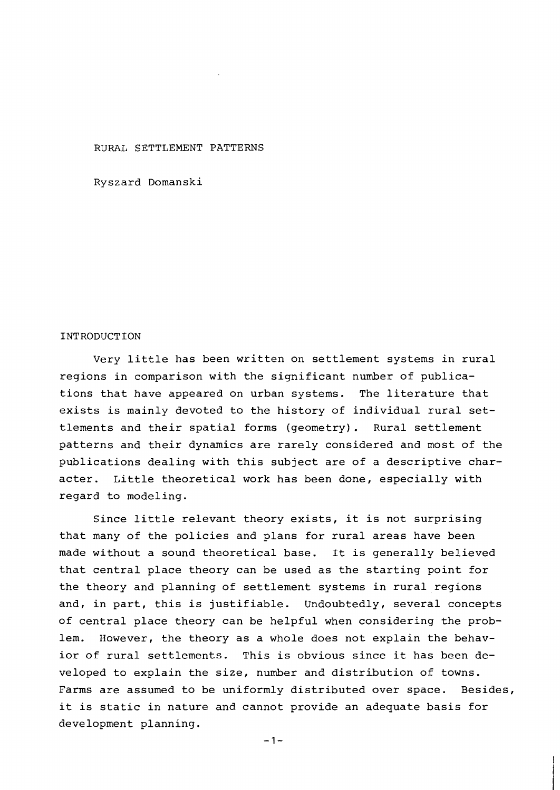#### RURAL SETTLEMENT PATTERNS

Ryszard Domanski

## INTRODUCTION

Very little has been written on settlement systems in rural regions in comparison with the significant number of publications that have appeared on urban systems. The literature that exists is mainly devoted to the history of individual rural settlements and their spatial forms (geometry). Rural settlement patterns and their dynamics are rarely considered and most of the publications dealing with this subject are of a descriptive character. Little theoretical work has been done, especially with regard to modeling.

Since little relevant theory exists, it is not surprising that many of the policies and plans for rural areas have been made without a sound theoretical base. It is generally believed that central place theory can be used as the starting point for the theory and planning of settlement systems in rural regions and, in part, this is justifiable. Undoubtedly, several concepts of central place theory can be helpful when considering the problem. However, the theory as a whole does not explain the behavior of rural settlements. This is obvious since it has been developed to explain the size, number and distribution of towns. Farms are assumed to be uniformly distributed over space. Besides, it is static in nature and cannot provide an adequate basis for development planning.

**-1-**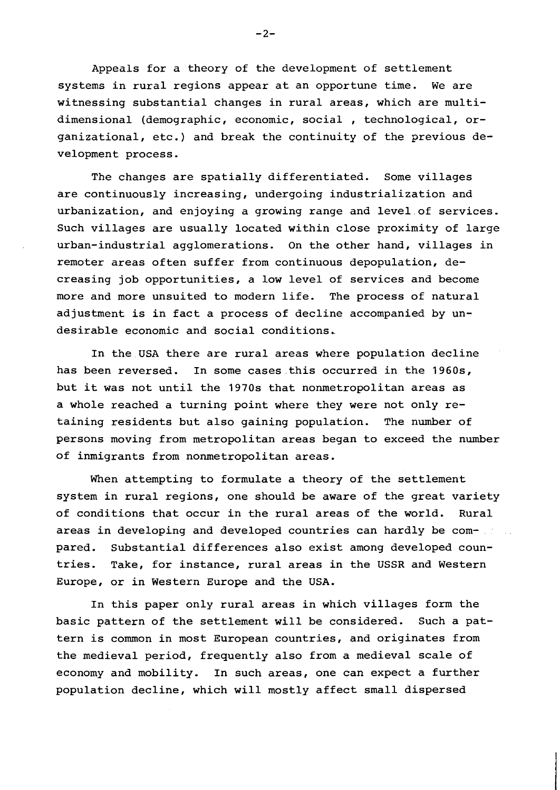Appeals for a theory of the development of settlement systems in rural regions appear at an opportune time. We are witnessing substantial changes in rural areas, which are multidimensional (demographic, economic, social , technological, organizational, etc.) and break the continuity of the previous development process.

The changes are spatially differentiated. Some villages are continuously increasing, undergoing industrialization and urbanization, and enjoying a growing range and level of services. Such villages are usually located within close proximity of large urban-industrial agglomerations. On the other hand, villages in remoter areas often suffer from continuous depopulation, decreasing job opportunities, a low level of services and become more and more unsuited to modern life. The process of natural adjustment is in fact a process of decline accompanied by undesirable economic and social conditions,

In the USA there are rural areas where population decline has been reversed. In some cases this occurred in the 1960s, but it was not until the 1970s that nonmetropolitan areas as a whole reached a turning point where they were not only retaining residents but also gaining population. The number of persons moving from metropolitan areas began to exceed the number of inmigrants from nonmetropolitan areas.

When attempting to formulate a theory of the settlement system in rural regions, one should be aware of the great variety of conditions that occur in the rural areas of the world. Rural areas in developing and developed countries can hardly be compared. Substantial differences also exist among developed countries. Take, for instance, rural areas in the USSR and Western Europe, or in Western Europe and the USA.

In this paper only rural areas in which villages form the basic pattern of the settlement will be considered. Such a pattern is common in most European countries, and originates from the medieval period, frequently also from a medieval scale of economy and mobility. In such areas, one can expect a further population decline, which will mostly affect small dispersed

 $-2-$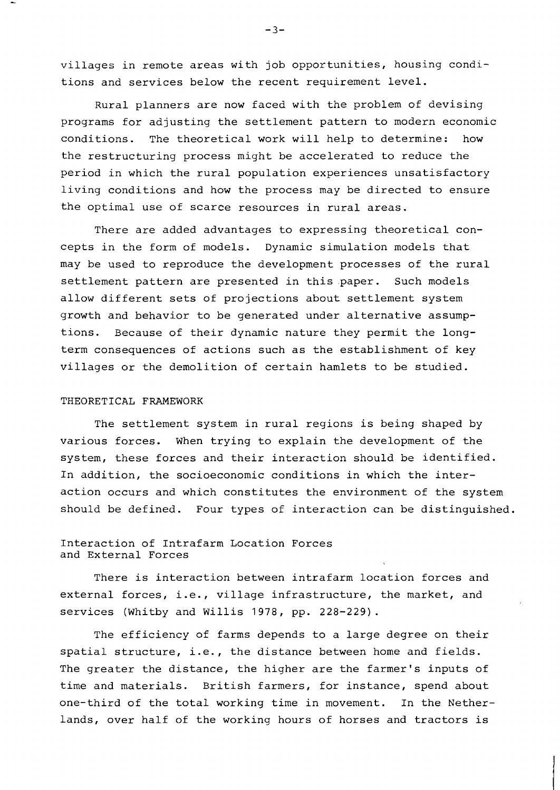villages in remote areas with job opportunities, housing conditions and services below the recent requirement level.

Rural planners are now faced with the problem of devising programs for adjusting the settlement pattern to modern economic conditions. The theoretical work will help to determine: how the restructuring process might be accelerated to reduce the period in which the rural population experiences unsatisfactory living conditions and how the process may be directed to ensure the optimal use of scarce resources in rural areas.

There are added advantages to expressing theoretical concepts in the form of models. Dynamic simulation models that may be used to reproduce the development processes of the rural settlement pattern are presented in this paper. Such models allow different sets of projections about settlement system growth and behavior to be generated under alternative assumptions. Because of their dynamic nature they permit the longterm consequences of actions such as the establishment of key villages or the demolition of certain hamlets to be studied.

### THEORETICAL FRAMEWORK

The settlement system in rural regions is being shaped by various forces. When trying to explain the development of the system, these forces and their interaction should be identified. In addition, the socioeconomic conditions in which the interaction occurs and which constitutes the environment of the system should be defined. Four types of interaction can be distinguished.

# Interaction of Intrafarm Location Forces and External Forces

There is interaction between intrafarm location forces and external forces, i.e., village infrastructure, the market, and services (Whitby and Willis 1978, pp. 228-229).

The efficiency of farms depends to a large degree on their spatial structure, i.e., the distance between home and fields. The greater the distance, the higher are the farmer's inputs of time and materials. British farmers, for instance, spend about one-third of the total working time in movement. In the Netherlands, over half of the working hours of horses and tractors is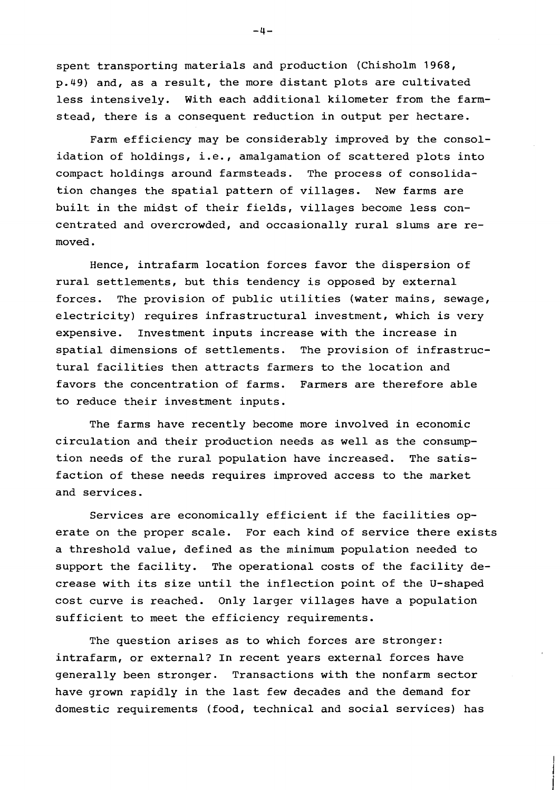spent transporting materials and production (Chisholm 1968, p.49) and, as a result, the more distant plots are cultivated less intensively. With each additional kilometer from the farmstead, there is a consequent reduction in output per hectare.

Farm efficiency may be considerably improved by the consolidation of holdings, i.e., amalgamation of scattered plots into compact holdings around farmsteads. The process of consolidation changes the spatial pattern of villages. New farms are built in the midst of their fields, villages become less concentrated and overcrowded, and occasionally rural slums are removed.

Hence, intrafarm location forces favor the dispersion of rural settlements, but this tendency is opposed by external forces. The provision of public utilities (water mains, sewage, electricity) requires infrastructural investment, which is very expensive. Investment inputs increase with the increase in spatial dimensions of settlements. The provision of infrastructural facilities then attracts farmers to the location and favors the concentration of farms. Farmers are therefore able to reduce their investment inputs.

The farms have recently become more involved in economic circulation and their production needs as well as the consumption needs of the rural population have increased. The satisfaction of these needs requires improved access to the market and services.

Services are economically efficient if the facilities operate on the proper scale. For each kind of service there exists a threshold value, defined as the minimum population needed to support the facility. The operational costs of the facility decrease with its size until the inflection point of the U-shaped cost curve is reached. Only larger villages have a population sufficient to meet the efficiency requirements.

The question arises as to which forces are stronger: intrafarm, or external? In recent years external forces have generally been stronger. Transactions with the nonfarm sector have grown rapidly in the last few decades and the demand for domestic requirements (food, technical and social services) has

 $-4-$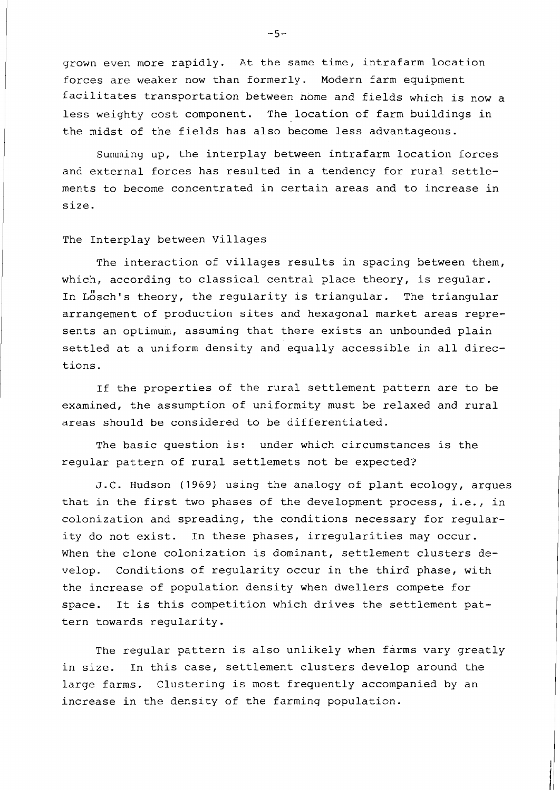grown even more rapidly. At the same time, intrafarm location forces are weaker now than formerly. Modern farm equipment facilitates transportation between home and fields which is now a less weighty cost component. The location of farm buildings in the midst of the fields has also become less advantageous.

Summing up, the interplay between intrafarm location forces and external forces has resulted in a tendency for rural settlements to become concentrated in certain areas and to increase in size.

## The Interplay between Villages

The interaction of villages results in spacing between them, which, according to classical central place theory, is regular. In Losch's theory, the regularity is triangular. The triangular arrangement of production sites and hexagonal market areas represents an optimum, assuming that there exists an unbounded plain settled at a uniform density and equally accessible in all directions.

If the properties of the rural settlement pattern are to be examined, the assumption of uniformity must be relaxed and rural areas should be considered to be differentiated.

The basic question is: under which circumstances is the regular pattern of rural settlemets not be expected?

J.C. Hudson (1969) using the analogy of plant ecology, argues that in the first two phases of the development process, i.e., in colonization and spreading, the conditions necessary for regularity do not exist. In these phases, irregularities may occur. When the clone colonization is dominant, settlement clusters develop. Conditions of regularity occur in the third phase, with the increase of population density when dwellers compete for space. It is this competition which drives the settlement pattern towards regularity.

The regular pattern is also unlikely when farms vary greatly in size. In this case, settlement clusters develop around the large farms. Clustering is most frequently accompanied by an increase in the density of the farming population.

 $-5-$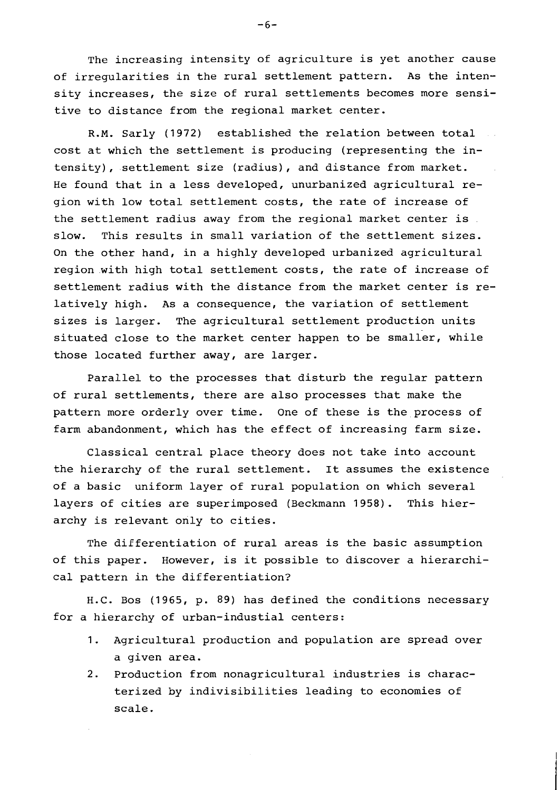The increasing intensity of agriculture is yet another cause of irregularities in the rural settlement pattern. As the intensity increases, the size of rural settlements becomes more sensitive to distance from the regional market center.

R.M. Sarly (1972) established the relation between total cost at which the settlement is producing (representing the intensity), settlement size (radius), and distance from market. He found that in a less developed, unurbanized agricultural region with low total settlement costs, the rate of increase of the settlement radius away from the regional market center is slow. This results in small variation of the settlement sizes. On the other hand, in a highly developed urbanized agricultural region.with high total settlement costs, the rate of increase of settlement radius with the distance from the market center is relatively high. As a consequence, the variation of settlement sizes is larger. The agricultural settlement production units situated close to the market center happen to be smaller, while those located further away, are larger.

Parallel to the processes that disturb the regular pattern of rural settlements, there are also processes that make the pattern more orderly over time. One of these is the process of farm abandonment, which has the effect of increasing farm size.

Classical central place theory does not take into account the hierarchy of the rural settlement. It assumes the existence of a basic uniform layer of rural population on which several layers of cities are superimposed (Beckmann 1958). This hierarchy is relevant only to cities.

The differentiation of rural areas is the basic assumption of this paper. However, is it possible to discover a hierarchical pattern in the differentiation?

H.C. Bos (1965, p. 89) has defined the conditions necessary for a hierarchy of urban-industial centers:

- 1. Agricultural production and population are spread over a given area.
- 2. Production from nonagricultural industries is characterized by indivisibilities leading to economies of scale.

 $-6-$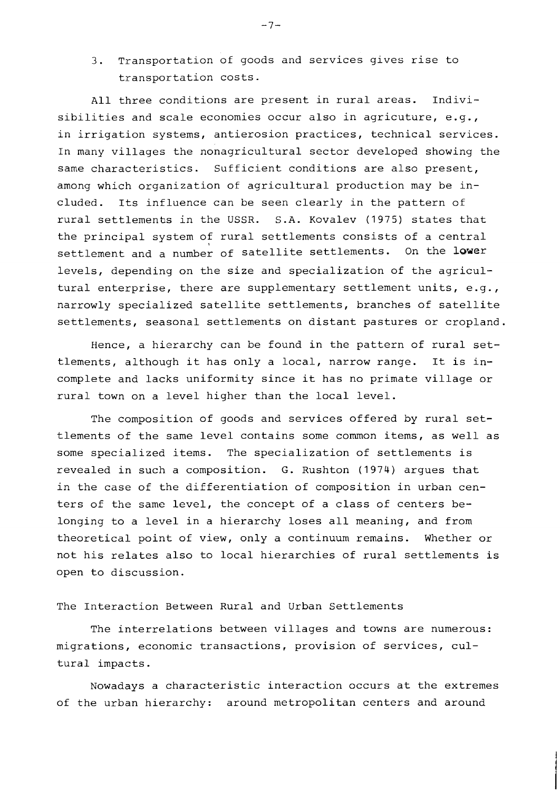3. Transportation of goods and services gives rise to transportation costs.

All three conditions are present in rural areas. Indivisibilities and scale economies occur also in agricuture, e.g., in irrigation systems, antierosion practices, technical services. In many villages the nonagricultural sector developed showing the same characteristics. Sufficient conditions are also present, among which organization of agricultural production may be included. Its influence can be seen clearly in the pattern of rural settlemenbs in the USSR. S.A. Kovalev (1975) states that the principal system of rural settlements consists of a central settlement and a number of satellite settlements. On the lower levels, depending on the size and specialization of the agricultural enterprise, there are supplementary settlement units, e.g., narrowly specialized satellite settlements, branches of satellite settlements, seasonal settlements on distant pastures or cropland.

Hence, a hierarchy can be found in the pattern of rural settlements, although it has only a local, narrow range. It is incomplete and lacks uniformity since it has no primate village or rural town on a level higher than the local level.

The composition of goods and services offered by rural settlements of the same level contains some common items, as well as some specialized items. The specialization of settlements is revealed in such a composition. G. Rushton (1974) argues that in the case of the differentiation of composition in urban centers of the same level, the concept of a class of centers belonging to a level in a hierarchy loses all meaning, and from theoretical point of view, only a continuum remains. Whether or not his relates also to local hierarchies of rural settlements is open to discussion.

The Interaction Between Rural and Urban Settlements

The interrelations between villages and towns are numerous: migrations, economic transactions, provision of services, cultural impacts.

Nowadays a characteristic interaction occurs at the extremes of the urban hierarchy: around metropolitan centers and around

 $-7-$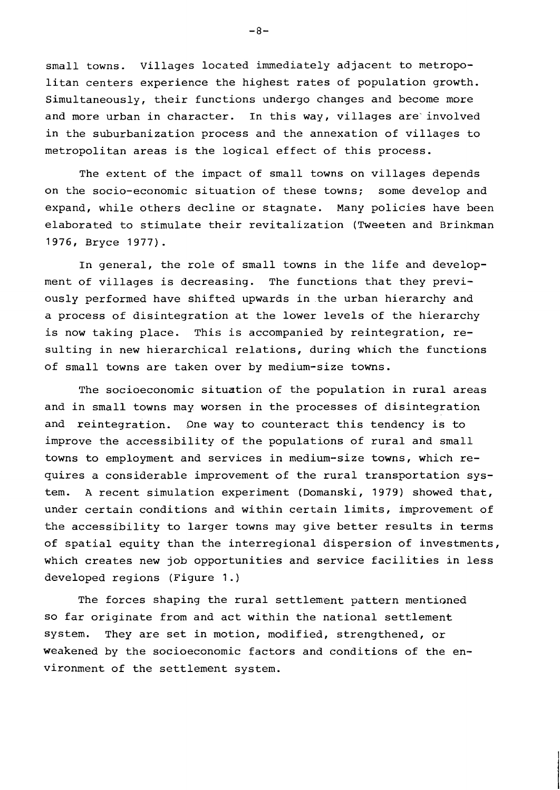small towns. Villages located immediately adjacent to metropolitan centers experience the highest rates of population growth. Simultaneously, their functions undergo changes and become more and more urban in character. In this way, villages are'involved in the suburbanization process and the annexation of villages to metropolitan areas is the logical effect of this process.

The extent of the impact of small towns on villages depends on the socio-economic situation of these towns; some develop and expand, while others decline or stagnate. Many policies have been elaborated to stimulate their revitalization (Tweeten and Brinkman 1976, Bryce 1977).

In general, the role of small towns in the life and development of villages is decreasing. The functions that they previously performed have shifted upwards in the urban hierarchy and a process of disintegration at the lower levels of the hierarchy is now taking place. This is accompanied by reintegration, resulting in new hierarchical relations, during which the functions of small towns are taken over by medium-size towns.

The socioeconomic situation of the population in rural areas and in small towns may worsen in the processes of disintegration and reintegration. One way to counteract this tendency is to improve the accessibility of the populations of rural and small towns to employment and services in medium-size towns, which requires a considerable improvement of the rural transportation system. A recent simulation experiment (Domanski, 1979) showed that, under certain conditions and within certain limits, improvement of the accessibility to larger towns may give better results in terms of spatial equity than the interregional dispersion of investments, which creates new job opportunities and service facilities in less developed regions (Figure 1.)

The forces shaping the rural settlement pattern mentioned so far originate from and act within the national settlement system. They are set in motion, modified, strengthened, or weakened by the socioeconomic factors and conditions of the environment of the settlement system.

 $-8-$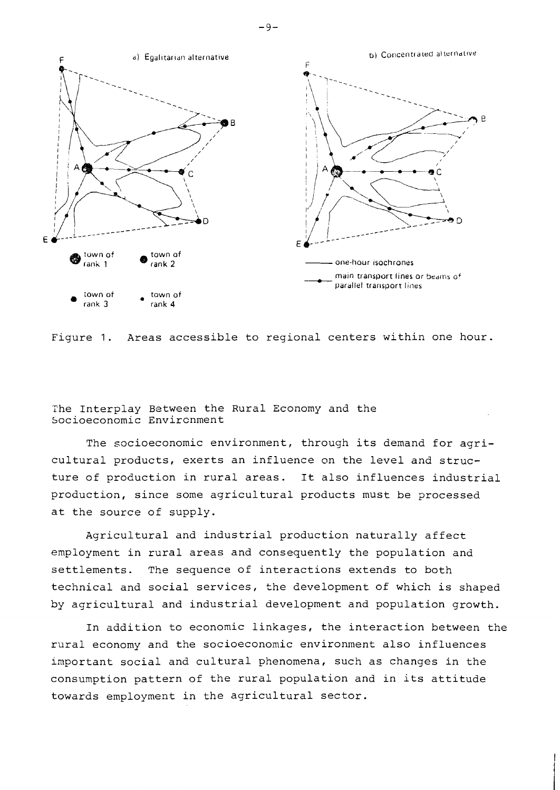

Figure 1. Areas accessible to regional centers within one hour.

The Interplay Between the Rural Economy and the Socioeconomic Environment

The socioeconomic environment, through its demand for agricultural products, exerts an influence on the level and structure of production in rural areas. It also influences industrial production, since some agricultural products must be processed at the source of supply.

Agricultural and industrial production naturally affect employment in rural areas and consequently the population and settlements. The sequence of interactions extends to both technical and social services, the development of which is shaped by agricultural and industrial development and population growth.

In addition to economic linkages, the interaction between the rural economy and the socioeconomic environment also influences important social and cultural phenomena, such as changes in the consumption pattern of the rural population and in its attitude towards employment in the agricultural sector.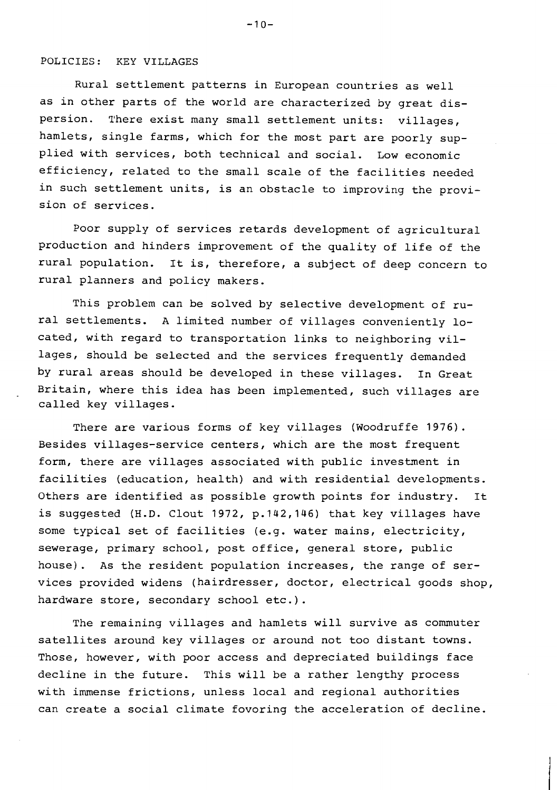#### POLICIES: KEY VILLAGES

Rural settlement patterns in European countries as well as in other parts of the world are characterized by great dispersion. There exist many small settlement units: villages, hamlets, single farms, which for the most part are poorly supplied with services, both technical and social. Low economic efficiency, related to the small scale of the facilities needed in such settlement units, is an obstacle to improving the provision of services.

Poor supply of services retards development of agricultural production and hinders improvement of the quality of life of the rural population. It is, therefore, a subject of deep concern to rural planners and policy makers.

This problem can be solved by selective development of rural settlements. A limited number of villages conveniently located, with regard to transportation links to neighboring villages, should be selected and the services frequently demanded by rural areas should be developed in these villages. In Great Britain, where this idea has been implemented, such villages are called key villages.

There are various forms of key villages (Woodruffe 1976). Besides villages-service centers, which are the most frequent form, there are villages associated with public investment in facilities (education, health) and with residential developments. Others are identified as possible growth points for industry. It is suggested (H.D. Clout 1972, p.142,146) that key villages have some typical set of facilities (e.g. water mains, electricity, sewerage, primary school, post office, general store, public house). As the resident population increases, the range of services provided widens (hairdresser, doctor, electrical goods shop, hardware store, secondary school etc.).

The remaining villages and hamlets will survive as commuter satellites around key villages or around not too distant towns. Those, however, with poor access and depreciated buildings face decline in the future. This will be a rather lengthy process with immense frictions, unless local and regional authorities can create a social climate fovoring the acceleration of decline.

 $-10-$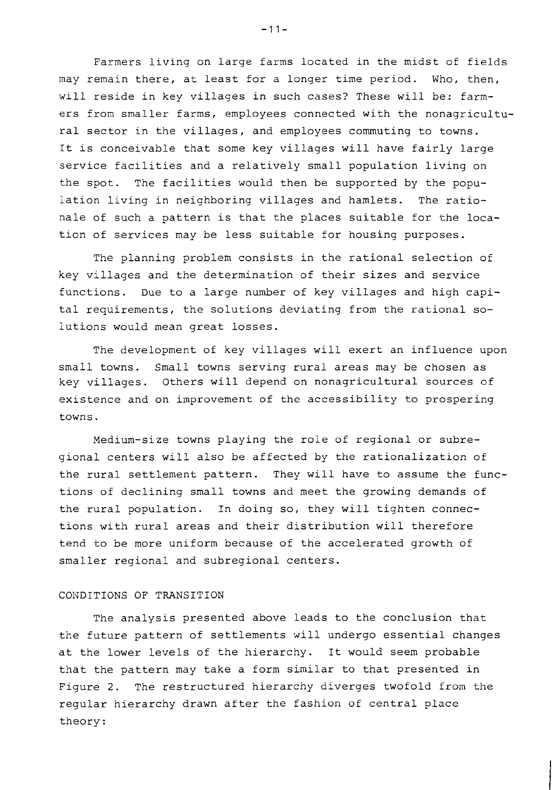Farmers living on large farms located in the midst of fields may remain there, at least for a longer time period. Who, then, will reside in key villages in such cases? These will be: farmers from smaller farms, employees connected with the nonagricultural sector in the villages, and employees commuting to towns. It is conceivable that some key villages will have fairly large service facilities and a relatively small population living on the spot. The facilities would then be supported by the population living in neighboring villages and hamlets. The rationale of such a pattern is that the places suitable for the location of services may be less suitable for housing purposes.

The planning problem consists in the rational selection of key villages and the determination of their sizes and service functions. Due to a large number of key villages and high capital requirements, the solutions deviating from the rational solutions would mean great losses.

The development of key villages will exert an influence upon small towns. Small towns serving rural areas may be chosen as key villages. Others will depend on nonagricultural sources of existence and on improvement of the accessibility to prospering towns.

Medium-size towns playing the role of regional or subregional centers will also be affected by the rationalization of the rural settlement pattern. They will have to assume the functions of declining small towns and meet the growing demands of the rural population. In doing so, they will tighten connections with rural areas and their distribution will therefore tend to be more uniform because of the accelerated growth of smaller regional and subregional centers.

# CONDITIONS OF TRANSITION

The analysis presented above leads to the conclusion that the future pattern of settlements will undergo essential changes at the lower levels of the hierarchy. It would seem probable that the pattern may take a form similar to that presented in Figure 2. The restructured hierarchy diverges twofold from the regular hierarchy drawn after the fashion of central place theory: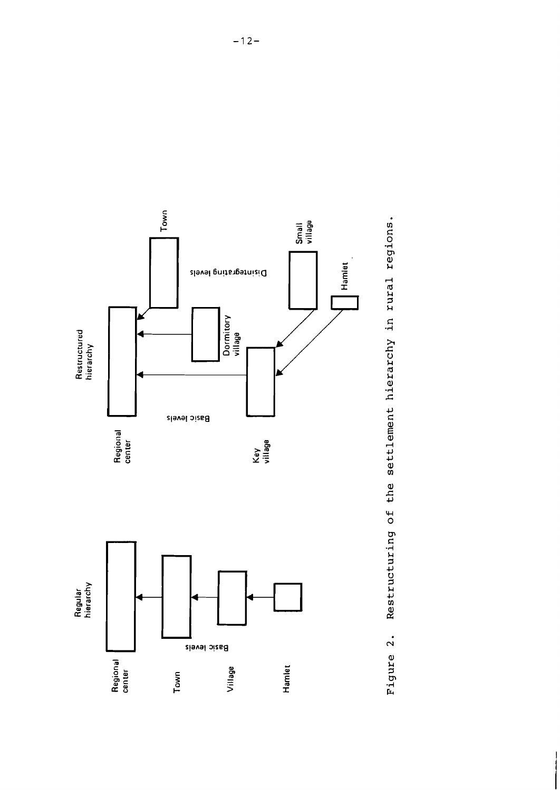

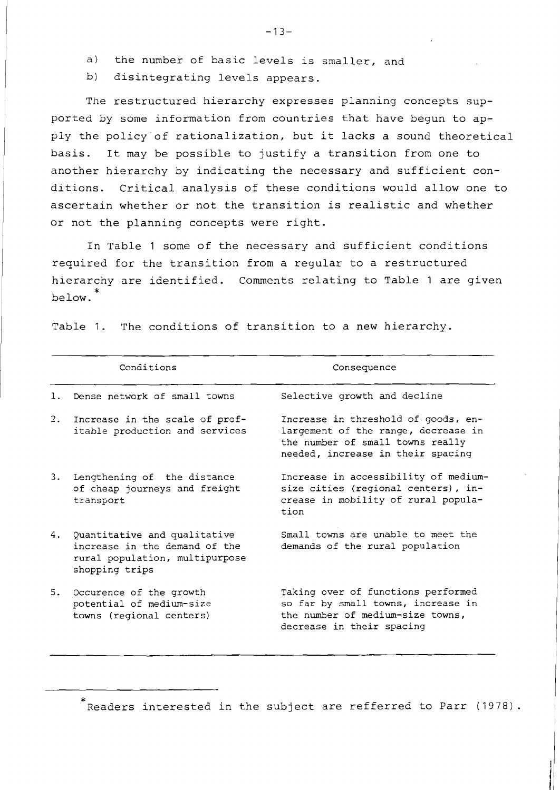- a) the number of basic levels is smaller, and
- b) disintegrating levels appears.

The restructured hierarchy expresses planning concepts supported by some information from countries that have begun to apply the policy-of rationalization, but it lacks a sound theoretical basis. It may be possible to justify a transition from one to another hierarchy by indicating the necessary and sufficient conditions. Critical analysis of these conditions would allow one to ascertain whether or not the transition is realistic and whether or not the planning concepts were right.

In Table 1 some of the necessary and sufficient conditions required for the transition from a regular to a restructured hierarchy are identified. Comments relating to Table 1 are given below.

| Table 1. The conditions of transition to a new hierarchy. |  |  |  |  |
|-----------------------------------------------------------|--|--|--|--|
|-----------------------------------------------------------|--|--|--|--|

|    | Conditions                                                                                                        | Consequence                                                                                                                                         |
|----|-------------------------------------------------------------------------------------------------------------------|-----------------------------------------------------------------------------------------------------------------------------------------------------|
| 1. | Dense network of small towns                                                                                      | Selective growth and decline                                                                                                                        |
| 2. | Increase in the scale of prof-<br>itable production and services                                                  | Increase in threshold of goods, en-<br>largement of the range, decrease in<br>the number of small towns really<br>needed, increase in their spacing |
| 3. | Lengthening of the distance<br>of cheap journeys and freight<br>transport                                         | Increase in accessibility of medium-<br>size cities (regional centers), in-<br>crease in mobility of rural popula-<br>tion                          |
| 4. | Quantitative and qualitative<br>increase in the demand of the<br>rural population, multipurpose<br>shopping trips | Small towns are unable to meet the<br>demands of the rural population                                                                               |
| 5. | Occurence of the growth<br>potential of medium-size<br>towns (regional centers)                                   | Taking over of functions performed<br>so far by small towns, increase in<br>the number of medium-size towns,<br>decrease in their spacing           |

**i:**  Readers interested in the subject are refferred to Parr (1978).

-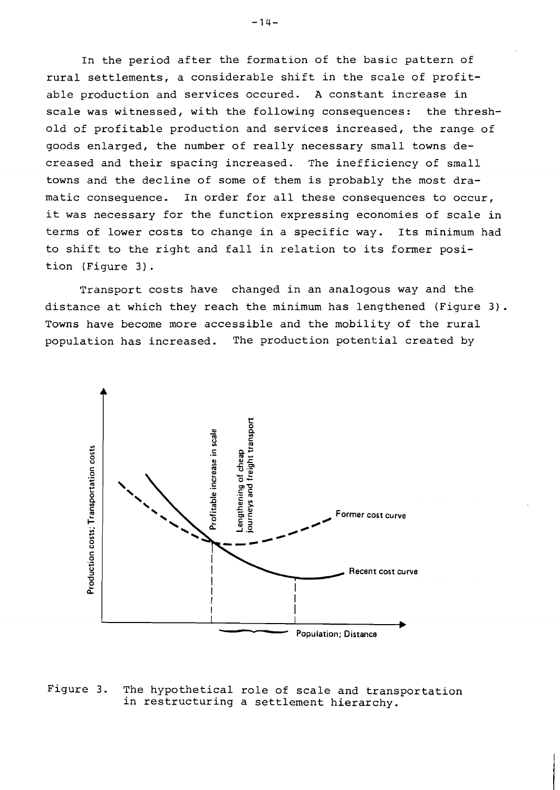In the period after the formation of the basic pattern of rural settlements, a considerable shift in the scale of profitable production and services occured. A constant increase in scale was witnessed, with the following consequences: the threshold of profitable production and services increased, the range of goods enlarged, the number of really necessary small towns decreased and their spacing increased. The inefficiency of small towns and the decline of some of them is probably the most dramatic consequence. In order for all these consequences to occur, it was necessary for the function expressing economies of scale in terms of lower costs to change in a specific way. Its minimum had to shift to the right and fall in relation to its former position (Figure **3).** 

Transport costs have changed in an analogous way and the distance at which they reach the minimum has lengthened (Figure **3).**  Towns have become more accessible and the mobility of the rural population has increased. The production potential created by



Figure **3.** The hypothetical role of scale and transportation in restructuring a settlement hierarchy.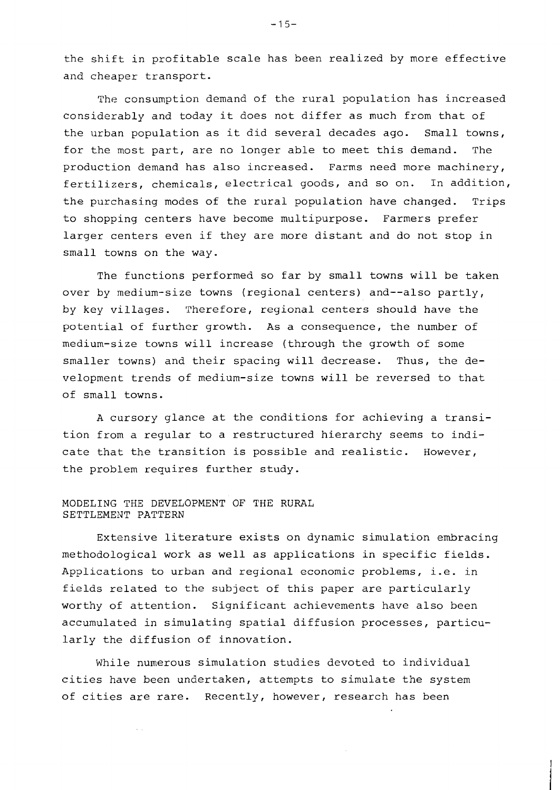the shift in profitable scale has been realized by more effective and cheaper transport.

The consumption demand of the rural population has increased considerably and today it does not differ as much from that of the urban population as it did several decades ago. Small towns, for the most part, are no longer able to meet this demand. The production demand has also increased. Farms need more machinery, fertilizers, chemicals, electrical goods, and so on. In addition, the purchasing modes of the rural population have changed. Trips to shopping centers have become multipurpose. Farmers prefer larger centers even if they are more distant and do not stop in small towns on the way.

The functions performed so far by small towns will be taken over by medium-size towns (regional centers) and--also partly, by key villages. Therefore, regional centers should have the potential of further growth. As a consequence, the number of medium-size towns will increase (through the growth of some smaller towns) and their spacing will decrease. Thus, the development trends of medium-size towns will be reversed to that of small towns.

A cursory glance at the conditions for achieving a transition from a regular to a restructured hierarchy seems to indicate that the transition is possible and realistic. However, the problem requires further study.

## MODELING THE DEVELOPMENT OF THE RURAL SETTLEMENT PATTERN

 $\sim$   $\sim$ 

Extensive literature exists on dynamic simulation embracing methodological work as well as applications in specific fields. Applications to urban and regional economic problems, i.e. in fields related to the subject of this paper are particularly worthy of attention. Significant achievements have also been accumulated in simulating spatial diffusion processes, particularly the diffusion of innovation.

While numerous simulation studies devoted to individual cities have been undertaken, attempts to simulate the system of cities are rare. Recently, however, research has been

 $-15-$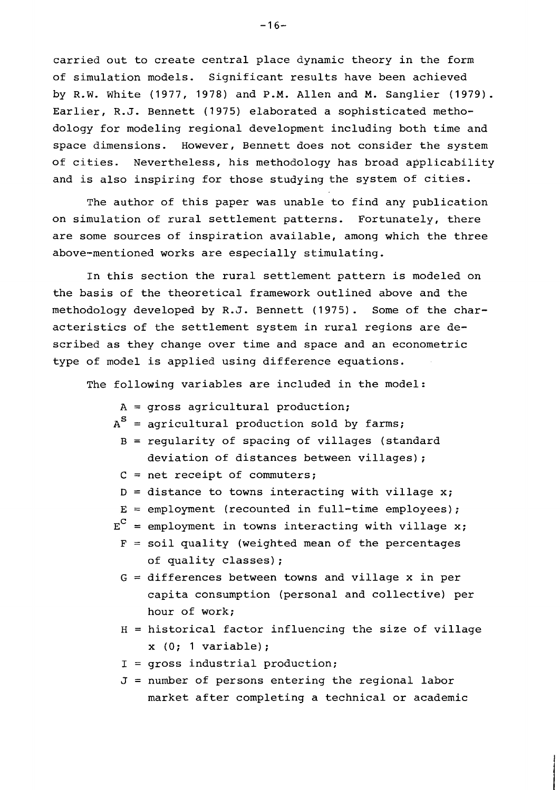carried out to create central place dynamic theory in the form of simulation models. Significant results have been achieved by R.W. White (1977, 1978) and P.M. Allen and M. Sanglier (1979). Earlier, R.J. Bennett (1975) elaborated a sophisticated methodology for modeling regional development including both time and space dimensions. However, Bennett does not consider the system of cities. Nevertheless, his methodology has broad applicability and is also inspiring for those studying the system of cities.

The author of this paper was unable to find any publication on simulation of rural settlement patterns. Fortunately, there are some sources of inspiration available, among which the three above-mentioned works are especially stimulating.

In this section the rural settlement pattern is modeled on the basis of the theoretical framework outlined above and the methodology developed by R.J. Bennett (1975). Some of the characteristics of the settlement system in rural regions are described as they change over time and space and an econometric type of model is applied using difference equations.

The following variables are included in the model:

- A = gross agricultural production;
- $A^S$  = agricultural production sold by farms;
- B = regularity of spacing of villages (standard deviation of distances between villages);
- $C = net received of commuters;$
- $D =$  distance to towns interacting with village x;
- $E =$  employment (recounted in full-time employees);
- $E^C$  = employment in towns interacting with village x;
	- $F =$  soil quality (weighted mean of the percentages of quality classes) ;
	- $G = differences between towns and village x in per$ capita consumption (personal and collective) per hour of work;
	- H = historical factor influencing the size of village <sup>x</sup>**(0;** 1 variable) ;
	- I = gross industrial production;
	- **J** = number of persons entering the regional labor market after completing a technical or academic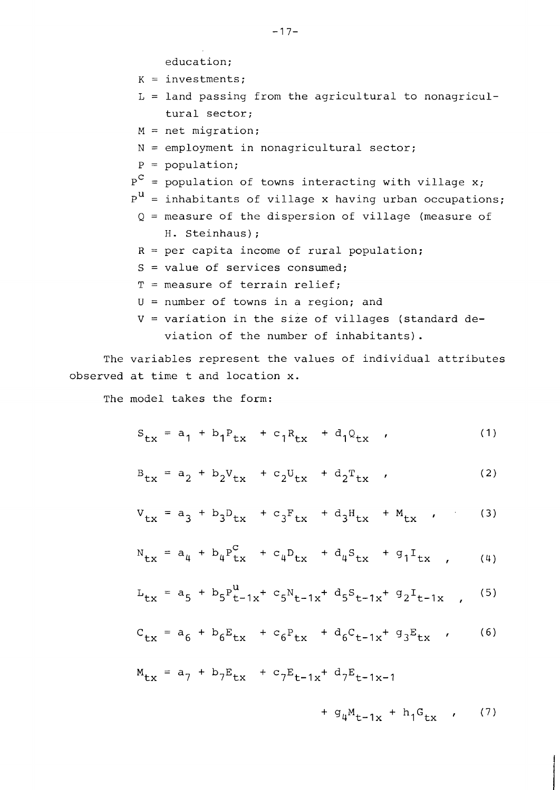education;

 $K =$  investments:

L = land passing from the agricultural to nonagricultural sector;

 $M = net migration$ ;

- $N =$  employment in nonagricultural sector;
- $P = population;$
- $P^C$  = population of towns interacting with village x;
- $P^{u}$  = inhabitants of village x having urban occupations;
	- Q = measure of the dispersion of village (measure of H. Steinhaus) ;
	- $R = per$  capita income of rural population;
	- $S =$  value of services consumed;
	- $T =$  measure of terrain relief;
	- $U =$  number of towns in a region; and
	- V = variation in the size of villages (standard deviation of the number of inhabitants).

The variables represent the values of individual attributes observed at time t and location x.

The model takes the form:

$$
S_{tx} = a_1 + b_1 P_{tx} + c_1 R_{tx} + d_1 Q_{tx} \t\t(1)
$$

$$
B_{tx} = a_2 + b_2 V_{tx} + c_2 U_{tx} + d_2 T_{tx} \t\t(2)
$$

$$
V_{tx} = a_3 + b_3 D_{tx} + c_3 F_{tx} + d_3 H_{tx} + M_{tx}
$$
 (3)

$$
N_{\rm tx} = a_{\mu} + b_{\mu} P_{\rm tx}^{\rm C} + c_{\mu} D_{\rm tx} + d_{\mu} S_{\rm tx} + g_{1} I_{\rm tx}, \qquad (4)
$$

$$
L_{tx} = a_5 + b_5 P_{t-1x}^u + c_5 N_{t-1x}^* d_5 S_{t-1x}^* g_2 I_{t-1x} \qquad (5)
$$

$$
C_{tx} = a_6 + b_6 E_{tx} + c_6 P_{tx} + d_6 C_{t-1x} + g_3 E_{tx}
$$
 (6)

$$
M_{tx} = a_7 + b_7 E_{tx} + c_7 E_{t-1x} + d_7 E_{t-1x-1} + g_4 M_{t-1x} + h_1 G_{tx} \t\t(7)
$$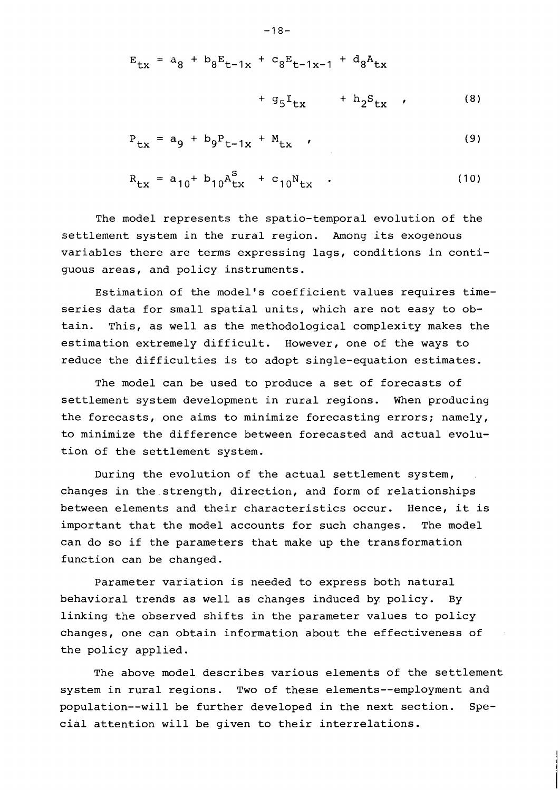$$
E_{tx} = a_8 + b_8 E_{t-1x} + c_8 E_{t-1x-1} + d_8 A_{tx}
$$
  
+  $g_5 I_{tx}$  +  $h_2 S_{tx}$  , (8)

$$
P_{tx} = a_9 + b_9 P_{t-1x} + M_{tx} \t\t(9)
$$

$$
R_{tx} = a_{10} + b_{10}A_{tx}^{s} + c_{10}N_{tx} \t . \t (10)
$$

The model represents the spatio-temporal evolution of the settlement system in the rural region. Among its exogenous variables there are terms expressing lags, conditions in contiguous areas, and policy instruments.

Estimation of the model's coefficient values requires timeseries data for small spatial units, which are not easy to obtain. This, as well as the methodological complexity makes the estimation extremely difficult. However, one of the ways to reduce the difficulties is to adopt single-equation estimates.

The model can be used to produce a set of forecasts of settlement system development in rural regions. When producing the forecasts, one aims to minimize forecasting errors; namely, to minimize the difference between forecasted and actual evolution of the settlement system.

During the evolution of the actual settlement system, changes in the-strength, direction, and form of relationships between elements and their characteristics occur. Hence, it is important that the model accounts for such changes. The model can do so if the parameters that make up the transformation function can be changed.

Parameter variation is needed to express both natural behavioral trends as well as changes induced by policy. By linking the observed shifts in the parameter values to policy changes, one can obtain information about the effectiveness of the policy applied.

The above model describes various elements of the settlement system in rural regions. Two of these elements--employment and population--will be further developed in the next section. Special attention will be given to their interrelations.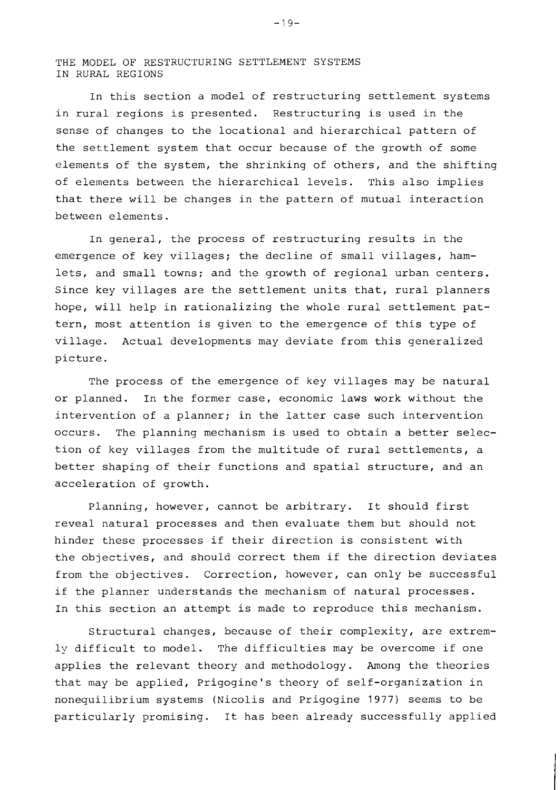THE MODEL OF RESTRUCTURING SETTLEMENT SYSTEMS IN RURAL REGIONS

In this section a model of restructuring settlement systems in rural regions is presented. Restructuring is used in the sense of changes to the locational and hierarchical pattern of the settlement system that occur because of the growth of some elements of the system, the shrinking of others, and the shifting of elements between the hierarchical levels. This also implies that there will be changes in the pattern of mutual interaction between elements.

In general., the process of restructuring results in the emergence of key villages; the decline of small villages, hamlets, and small towns; and the growth of regional urban centers. Since key villages are the settlement units that, rural planners hope, will help in rationalizing the whole rural settlement pattern, most attention is given to the emergence of this type of village. Actual developments may deviate from this generalized picture.

The process of the emergence of key villages may be natural or planned. In the former case, economic laws work without the intervention of a planner; in the latter case such intervention occurs. The planning mechanism is used to obtain a better selection of key villages from the multitude of rural settlements, a better shaping of their functions and spatial structure, and an acceleration of growth.

Planning, however, cannot be arbitrary. It should first reveal natural processes and then evaluate them but should not hinder these processes if their direction is consistent with the objectives, and should correct them if the direction deviates from the objectives. Correction, however, can only be successful if the planner understands the mechanism of natural processes. In this section an attempt is made to reproduce this mechanism.

Structural changes, because of their complexity, are extremly difficult to model. The difficulties may be overcome if one applies the relevant theory and methodology. Among the theories that may be applied, Prigogine's theory of self-organization in nonequilibrium systems (Nicolis and Prigogine 1977) seems to be particularly promising. It has been already successfully applied

 $-19-$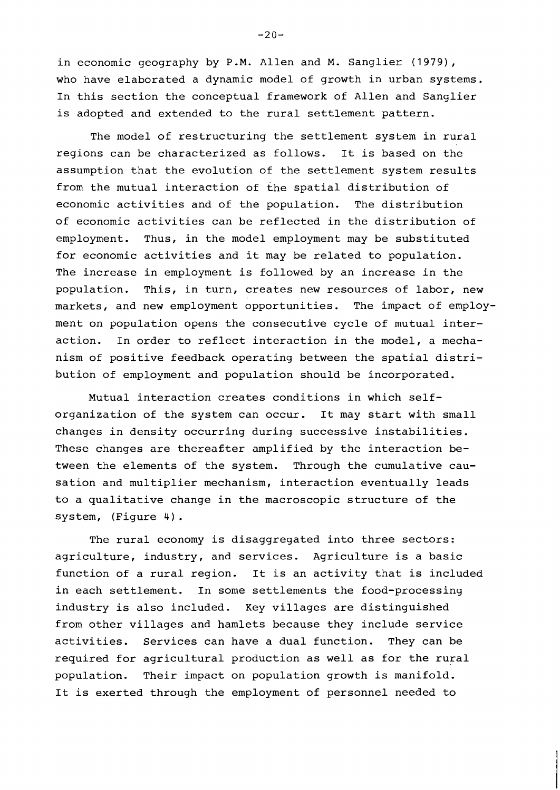in economic geography by P.M. Allen and M. Sanglier (1979), who have elaborated a dynamic model of growth in urban systems. In this section the conceptual framework of Allen and Sanglier is adopted and extended to the rural settlement pattern.

The model of restructuring the settlement system in rural regions can be characterized as follows. It is based on the assumption that the evolution of the settlement system results from the mutual interaction of the spatial distribution of economic activities and of the population. The distribution of economic activities can be reflected in the distribution of employment. Thus, in the model employment may be substituted for economic activities and it may be related to population. The increase in employment is followed by an increase in the population. This, in turn, creates new resources of labor, new markets, and new employment opportunities. The impact of employment on population opens the consecutive cycle of mutual interaction. In order to reflect interaction in the model, a mechanism of positive feedback operating between the spatial distribution of employment and population should be incorporated.

Mutual interaction creates conditions in which selforganization of the system can occur. It may start with small changes in density occurring during successive instabilities. These changes are thereafter amplified by the interaction between the elements of the system. Through the cumulative causation and multiplier mechanism, interaction eventually leads to a qualitative change in the macroscopic structure of the system, (Figure 4) .

The rural economy is disaggregated into three sectors: agriculture, industry, and services. Agriculture is a basic function of a rural region. It is an activity that is included in each settlement. In some settlements the food-processing industry is also included. Key villages are distinguished from other villages and hamlets because they include service activities. Services can have a dual function. They can be required for agricultural production as well as for the rural population. Their impact on population growth is manifold. It is exerted through the employment of personnel needed to

 $-20-$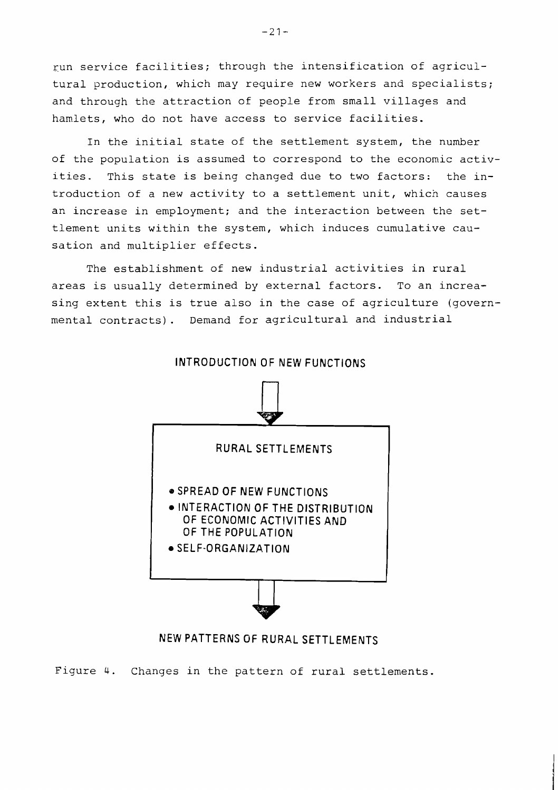run service facilities; through the intensification of agricultural production, which may require new workers and specialists; and through the attraction of people from small villages and hamlets, who do not have access to service facilities.

In the initial state of the settlement system, the number of the population is assumed to correspond to the economic activities. This state is being changed due to two factors: the introduction of a new activity to a settlement unit, which causes an increase in employment; and the interaction between the settlement units within the system, which induces cumulative causation and multiplier effects.

The establishment of new industrial activities in rural areas is usually determined by external factors. To an increasing extent this is true also in the case of agriculture (governmental contracts). Demand for agricultural and industrial



# INTRODUCTION OF NEW FUNCTIONS

# NEW PATTERNS OF RURAL SETTLEMENTS

Figure 4. Changes in the pattern of rural settlements.

 $-21-$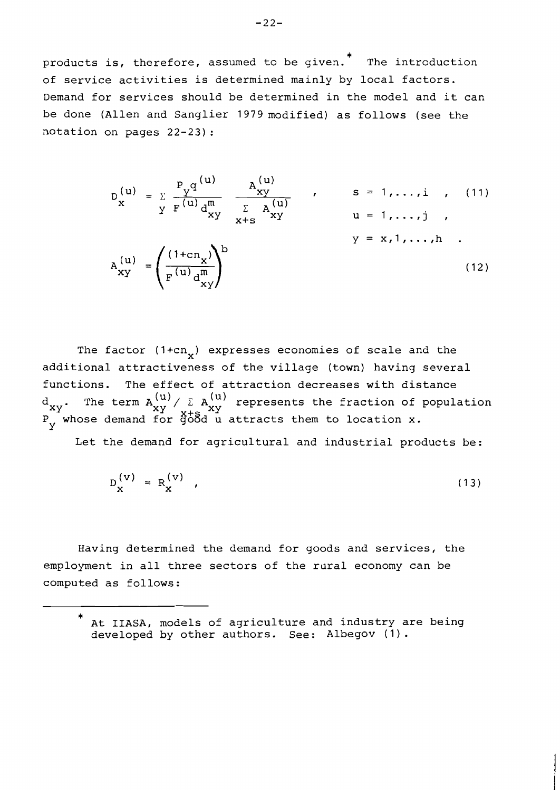\* products is, therefore, assumed to be given. The introduction of service activities is determined mainly by local factors. Demand for services should be determined in the model and it can be done (Allen and Sanglier 1979 modified) as follows (see the aotation on pages 22-23) :

$$
D_{x}^{(u)} = \sum_{y} \frac{P_{y}q^{(u)}}{F^{(u)}d_{xy}^{m}} \frac{A_{xy}^{(u)}}{\sum_{x+s} A_{xy}^{(u)}}
$$
,  $s = 1,...,i$ , (11)  

$$
D_{x}^{(u)} = \left(\frac{(1+c_{n_{x}})}{F^{(u)}d_{xy}^{m}}\right)^{b}
$$
  

$$
D_{x}^{(u)} = \left(\frac{(1+c_{n_{x}})}{F^{(u)}d_{xy}^{m}}\right)^{b}
$$
  

$$
D_{x}^{(u)} = 1,...,j
$$
, (12)

The factor (1+cn $_{\mathrm{x}}$ ) expresses economies of scale and the additional attractiveness of the village (town) having several functions. The effect of attraction decreases with distance  $d_{xy}$ . The term  $A_{xy}^{(u)}/\sum\limits_{x+s} A_{xy}^{(u)}$  represents the fraction of population  $P_{\rm v}^{2Y}$  whose demand for  $3^{+5}_{-2}$  attracts them to location x. Y

Let the demand for agricultural and industrial products be:

$$
D_{\mathbf{x}}^{(\mathbf{v})} = R_{\mathbf{x}}^{(\mathbf{v})}, \qquad (13)
$$

Having determined the demand for goods and services, the employment in all three sectors of the rural economy can be computed as follows:

<sup>\*</sup>  At IIASA, models of agriculture and industry are being developed by other authors. See: Albegov (1).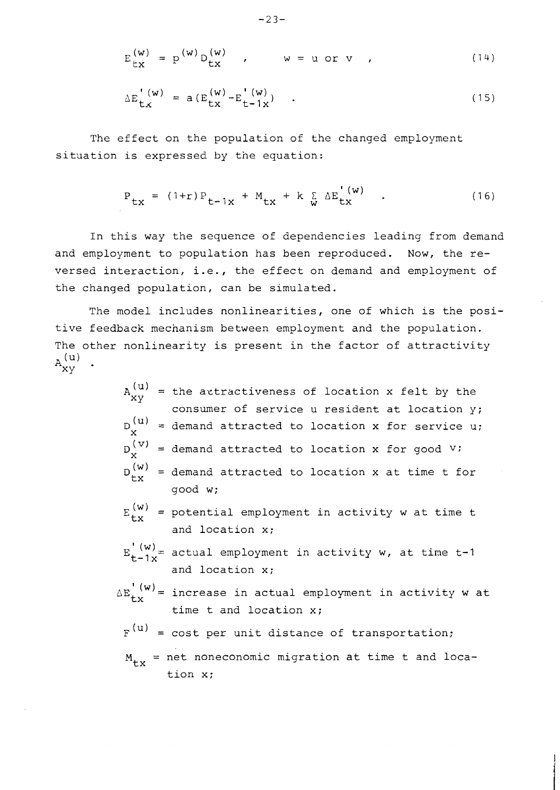$$
E_{EX}^{(w)} = p^{(w)} D_{EX}^{(w)}, \qquad w = u \text{ or } v,
$$
 (14)

$$
\Delta E \frac{I(w)}{Lx} = a (E \frac{(w)}{Lx} - E \frac{I(w)}{L-1x}) \qquad . \qquad (15)
$$

The effect on the population of the changed employment situation is expressed by the equation:

$$
P_{tx} = (1+r) P_{t-1x} + M_{tx} + k \sum_{w} \Delta E_{tx}^{'(w)}.
$$
 (16)

In this way the sequence of dependencies leading from demand and employment to population has been reproduced. Now, the reversed interaction, i.e., the effect on demand and employment of the changed population, can be simulated.

The model includes nonlinearities, one of which is the positive feedback mechanism between employment and the population. The other nonlinearity is present in the factor of attractivity (u) x Y

> $A^{(u)}_{xy}$  = the actractiveness of location x felt by the consumer of service u resident at location y;  $D_{X}^{(u)}$  = demand attracted to location x for service u;<br> $D_{X}^{(v)}$  = demand attracted to location x for good v;  $=$  demand attracted to location x for good  $V$ ;  $D_{\text{tx}}^{(w)}$  = demand attracted to location x at time t for good w;

$$
E_{tx}^{(w)} = potential \text{ employment in activity w at time t}
$$
\nand location x;

$$
E_{t-1x}^{(w)} = \text{actual employment in activity } w, \text{ at time } t-1
$$
  
and location x;

$$
\Delta E_{tx}^{(w)} = \text{increase in actual employment in activity w at} \\ \text{time t and location x;}
$$

 $F^{(u)}$  = cost per unit distance of transportation;

$$
M_{tx} = net noneconomic migration at time t and loca-tion x;
$$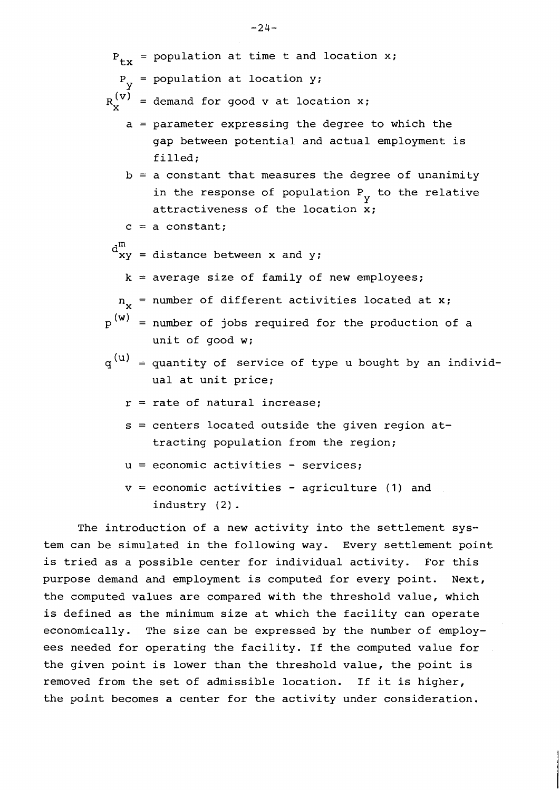$P_{+x}$  = population at time t and location x;  $P_{y}$  = population at location y;  $R_v^{(v)}$  = demand for good v at location x; a = parameter expressing the degree to which the gap between potential and actual employment is filled;  $b = a$  constant that measures the degree of unanimity in the response of population P to the relative Y attractiveness of the location x;  $c = a constant;$  $d_{xy}^{mu}$  = distance between x and y;  $k = average size of family of new employees;$  $n_{\mathbf{x}}$  = number of different activities located at  $\mathbf{x}$ ;  $p^{(w)}$  = number of jobs required for the production of a unit of good w;  $q^{(u)}$  = quantity of service of type u bought by an individual at unit price; r = rate of natural increase; s = centers located outside the given region attracting population from the region;  $u =$  economic activities - services;  $v =$  economic activities - agriculture (1) and

The introduction of a new activity into the settlement system can be simulated in the following way. Every settlement point is tried as a possible center for individual activity. For this purpose demand and employment is computed for every point. Next, the computed values are compared with the threshold value, which is defined as the minimum size at which the facility can operate economically. The size can be expressed by the number of employees needed for operating the facility. If the computed value for the given point is lower than the threshold value, the point is removed from the set of admissible location. If it is higher, the point becomes a center for the activity under consideration.

industry (2) .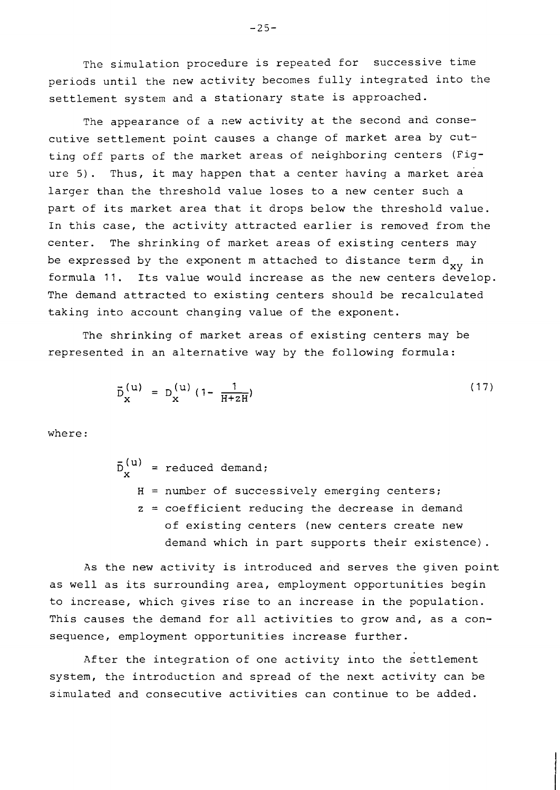The simulation procedure is repeated for successive time periods until the new activity becomes fully integrated into the settlement system and a stationary state is approached.

The appearance of a new activity at the second and consecutive settlement point causes a change of market area by cutting off parts of the market areas of neighboring centers (Figure 5). Thus, it may happen that a center having a market area larger than the threshold value loses to a new center such a part of its market area that it drops below the threshold value. In this case, the activity attracted earlier is removed from the center. The shrinking of market areas of existing centers may be expressed by the exponent m attached to distance term  $d_{xy}$  in formula 11. Its value would increase as the new centers develop. The demand attracted to existing centers should be recalculated taking into account changing value of the exponent.

The shrinking of market areas of existing centers may be represented in an alternative way by the following formula:

$$
\bar{D}_{x}^{(u)} = D_{x}^{(u)} (1 - \frac{1}{H + 2H})
$$
 (17)

where:

 $\bar{D}_{v}^{(u)}$  = reduced demand;  $H =$  number of successively emerging centers;  $z = coefficient$  reducing the decrease in demand of existing centers (new centers create new demand which in part supports their existence).

As the new activity is introduced and serves the given point as well as its surrounding area, employment opportunities begin to increase, which gives rise to an increase in the population. This causes the demand for all activities to grow and, as a consequence, employment opportunities increase further.

After the integration of one activity into the settlement system, the introduction and spread of the next activity can be simulated and consecutive activities can continue to be added.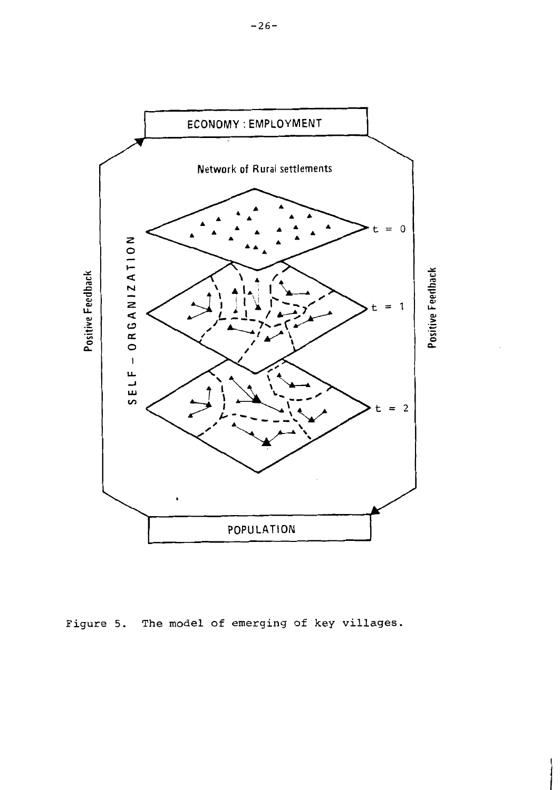

**Figure 5. The model of emerging of key villages.**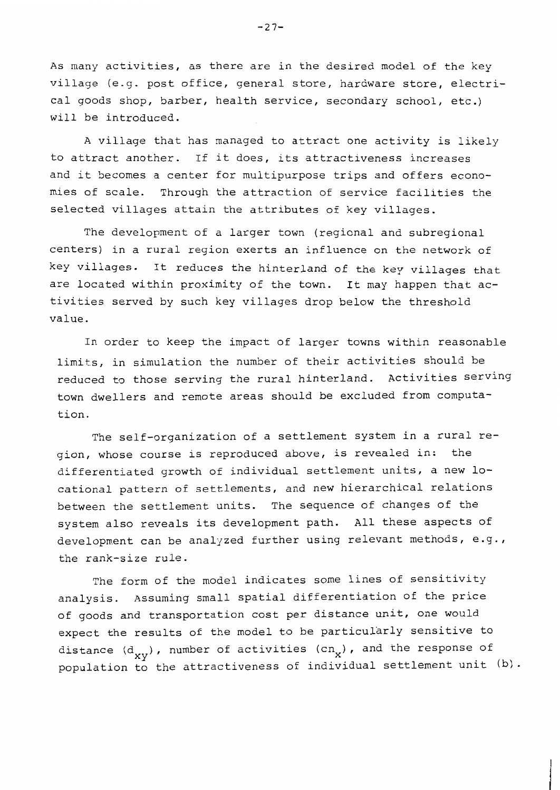As many activities, as there are in the desired model of the key village (e.9. post office, general store, hardware store, electrical goods shop, barber, health service, secondary school, etc.) will be introduced.

A village that has nanaged to attract one activity is likely to attract another. If it does, its attractiveness increases and it becomes a center for multipurpose trips and offers economies of scale. Through the attraction of service facilities the selected villages attain the attributes of key villages.

The development of a larger town (regional and subregional centers) in a rural region exerts an influence on the network of key villages. It reduces the hinterland of the key villages that are located within proximity of the town. It may happen that activities served by such key villages drop below the threshold value.

In order to keep the impact of larger towns within reasonable limits, in simulation the number of their activities should be reduced to those serving the rural hinterland. Activities serving town dwellers and remote areas should be excluded from computation.

The self-organization of a settlement system in a rural region, whose course is reproduced above, is revealed in: the differentiated growth of individual settlement units, a new locational pattern of settlements, and new hierarchical relations between the settlement units. The sequence of changes of the system also reveals its development path. All these aspects of development can be analyzed further using relevant methods, e.g., the rank-size rule.

The form of the model indicates some lines of sensitivity analysis. Assuming small spatial differentiation of the price of goods and transportation cost per distance unit, one would expect the results of the model to be particularly sensitive to distance  $(d_{xy})$ , number of activities  $(cn_x)$ , and the response of x Y population to the attractiveness of individual settlement unit (b).

 $-27-$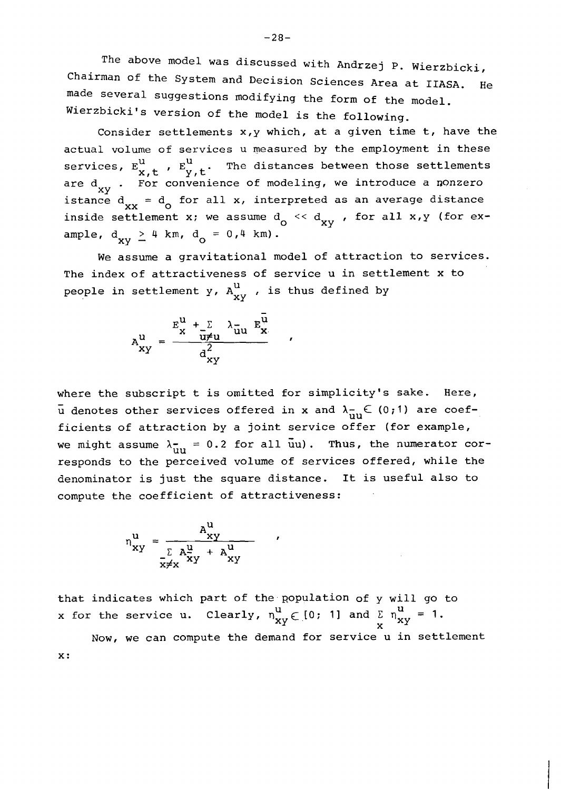The above model was discussed with Andrzej P. Wierzbicki, Chairman of the System and Decision Sciences Area at IIASA. He made several suggestions modifying the form of the model. Wierzbicki's version of the model is the following.

Consider settlements x,y which, at a given time t, have the actual volume of services u measured by the employment in these services,  $E_{x,t}^{u}$ ,  $E_{y,t}^{u}$ . The distances between those settlements are  $d_{xy}$ . For convenience of modeling, we introduce a nonzero istance  $d_{xx} = d_0$  for all  $x$ , interpreted as an average distance inside settlement x; we assume  $d_0 \ll d_{xy}$ , for all x,y (for example,  $d_{xy} \geq 4$  km,  $d_{0} = 0$ , 4 km).

We assume a gravitational model of attraction to services. The index of attractiveness of service u in settlement x to people in settlement y,  $A_{xy}^{U}$  , is thus defined by

$$
A_{xy}^{u} = \frac{E_x^u + E_y^u}{\frac{u \neq u}{\alpha_{xy}^2}} \frac{E_y^u}{\alpha_{xy}^2}
$$

where the subscript t is omitted for simplicity's sake. Here,<br>where the subscript t is omitted for simplicity's sake. Here, u denotes other services offered in x and  $\lambda_{\text{un}}^-\in$  (0;1) are coefficients of attraction by a joint service offer (for example, we might assume  $\lambda_{\text{III}} = 0.2$  for all uu). Thus, the numerator corresponds to the perceived volume of services offered, while the denominator is just the square distance. It is useful also to compute the coefficient of attractiveness:

$$
n_{xy}^{\mathbf{u}} = \frac{A_{xy}^{\mathbf{u}}}{\sum\limits_{x \neq x}^{x} A_{xy}^{\mathbf{u}} + A_{xy}^{\mathbf{u}}}
$$

that indicates which part of the population of  $y$  will go to x for the service u. Clearly,  $n_{xy}^u \in [0; 1]$  and  $\frac{\gamma}{x} n_{xy}^u = 1$ .

Now, we can compute the demand for service u in settlement x: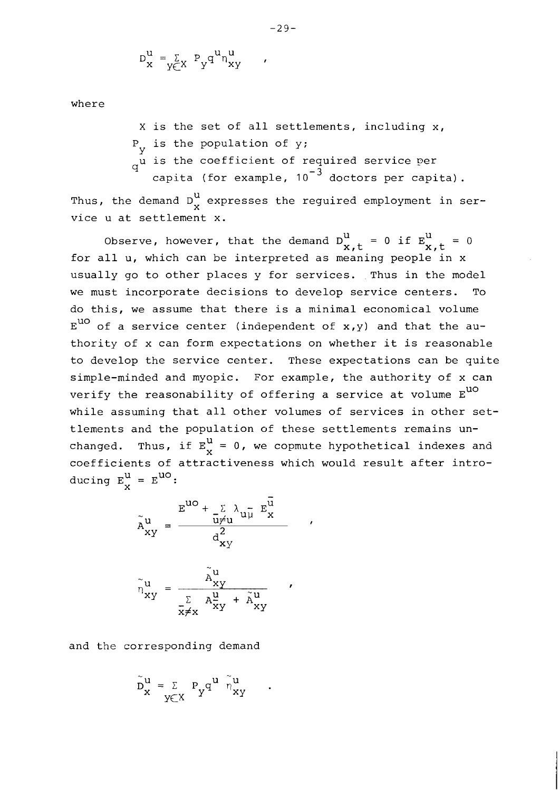$$
D_{\mathbf{x}}^{\mathbf{u}} = \sum_{y \in X} P_y q^{\mathbf{u}} n_{\mathbf{x}y}^{\mathbf{u}}
$$

where

X is the set of all settlements, including x,  $P_{V}$  is the population of y; q<sup>u is the coefficient of required service per<br>capita (for example, 10<sup>-3</sup> doctors per capita).</sup>

Thus, the demand  $D_{\bf x}^\text{u}$  expresses the reguired employment in service u at settlement x.

Observe, however, that the demand  $D_{\mathbf{x},t}^{\mathbf{u}} = 0$  if  $E_{\mathbf{x},t}^{\mathbf{u}} = 0$ for all u, which can be interpreted as meaning people in x usually go to other places y for services. Thus in the model we must incorporate decisions to develop service centers. To do this, we assume that there is a minimal economical volume  $E^{UO}$  of a service center (independent of  $x, y$ ) and that the authority of x can form expectations on whether it is reasonable to develop the service center. These expectations can be quite simple-minded and myopic. For example, the authority of x can verify the reasonability of offering a service at volume  $E^{UO}$ while assuming that all other volumes of services in other settlements and the population of these settlements remains unchanged. Thus, if  $E_x^u = 0$ , we copmute hypothetical indexes and coefficients of attractiveness which would result after introducing  $E_X^U = E^{UO}$ :

$$
\tilde{A}_{xy}^{u} = \frac{E^{uo} + \frac{\sum \lambda}{u \neq u} u \tilde{\mu}}{d \frac{2}{xy}}
$$

$$
\tilde{p}_{xy}^{\mathbf{u}} = \frac{A_{xy}^{\mathbf{u}}}{\frac{\sum\limits_{x \neq x} A_{xy}^{\mathbf{u}} + \tilde{A}_{xy}^{\mathbf{u}}}{\sum\limits_{x \neq x} A_{xy}^{\mathbf{u}} + \tilde{A}_{xy}^{\mathbf{u}}}}
$$

and the corresponding demand

$$
\tilde{D}_{x}^{u} = \sum_{Y \subseteq X} P_{Y} q^{u} \tilde{n}_{xy}^{u}
$$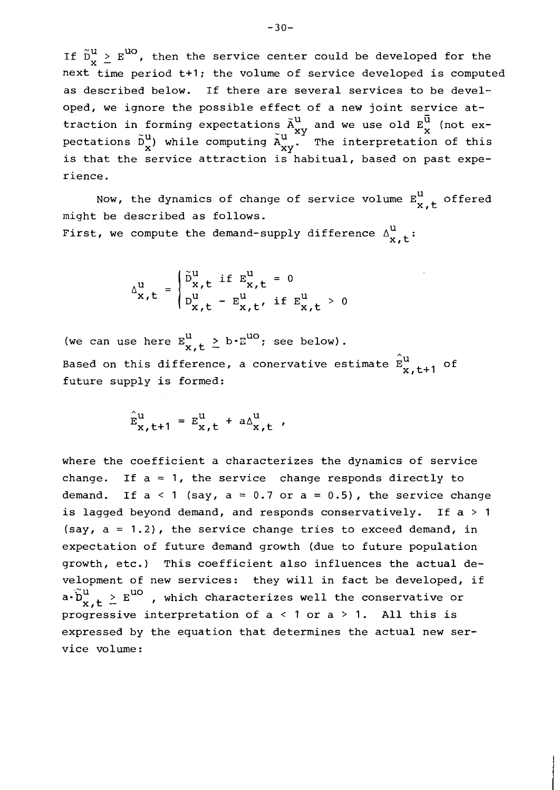If  $\tilde{D}_{\mathbf{x}}^{\mathbf{u}} \ge \mathbf{E}^{\mathbf{uo}}$ , then the service center could be developed for the next time period t+1; the volume of service developed is computed as described below. If there are several services to be developed, we ignore the possible effect of a new joint service at rv<br>ก traction in forming expectations  $\tilde{A}^u$  and we use old  $E^u$  (not ex-<br>pectations  $\tilde{D}^u$ ) while computing  $\tilde{A}^u$ . The interpretation of this is that the service attraction is habitual, based on past experience.

Now, the dynamics of change of service volume  $E_{x,t}^u$  offered might be described as follows. First, we compute the demand-supply difference  $\Delta_{x,t}^{u}$ :

$$
\Delta_{\mathbf{x},t}^{\mathbf{u}} = \begin{cases} \tilde{D}_{\mathbf{x},t}^{\mathbf{u}} & \text{if } E_{\mathbf{x},t}^{\mathbf{u}} = 0 \\ D_{\mathbf{x},t}^{\mathbf{u}} - E_{\mathbf{x},t}^{\mathbf{u}}, \text{if } E_{\mathbf{x},t}^{\mathbf{u}} > 0 \end{cases}
$$

(we can use here  $E_{x,t}^u \ge b \cdot E^{uo}$ ; see below). Based on this difference, a conervative estimate  $\hat{E}_{v}^{u}$   $_{t+1}$  of future supply is formed:

$$
\hat{\mathbf{E}}_{\mathbf{x},\mathbf{t}+1}^{\mathbf{u}} = \mathbf{E}_{\mathbf{x},\mathbf{t}}^{\mathbf{u}} + a\Delta_{\mathbf{x},\mathbf{t}}^{\mathbf{u}} ,
$$

where the coefficient a characterizes the dynamics of service change. If  $a = 1$ , the service change responds directly to demand. If  $a < 1$  (say,  $a = 0.7$  or  $a = 0.5$ ), the service change is lagged beyond demand, and responds conservatively. If  $a > 1$ (say,  $a = 1.2$ ), the service change tries to exceed demand, in expectation of future demand growth (due to future population growth, etc.) This coefficient also influences the actual development of new services: they will in fact be developed, if  $\overrightarrow{B}_{x,t}^{\text{u}} \geq E^{10}$  , which characterizes well the conservative or progressive interpretation of  $a < 1$  or  $a > 1$ . All this is expressed by the equation that determines the actual new service volume: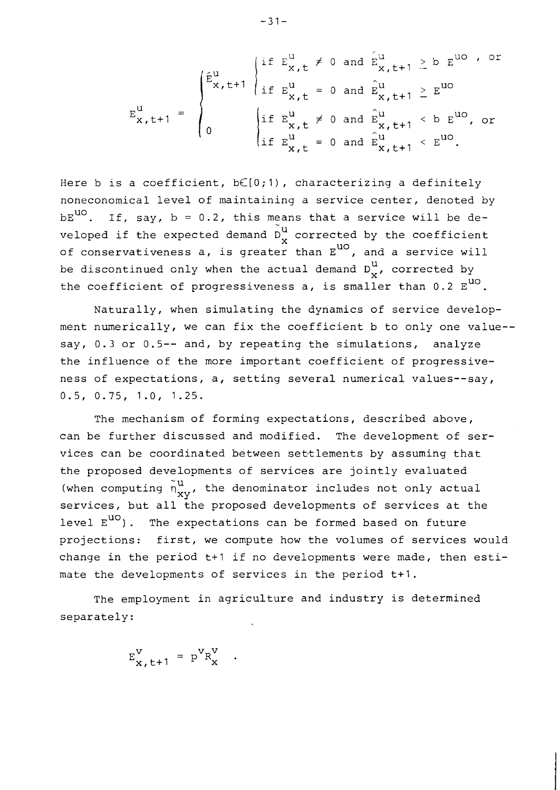$$
E_{x,t+1}^{u} = \begin{cases} \hat{E}_{x,t+1}^{u} & \text{if } E_{x,t}^{u} \neq 0 \text{ and } \hat{E}_{x,t+1}^{u} \geq b E^{uo} \end{cases}, \text{ or}
$$
\n
$$
E_{x,t+1}^{u} = \begin{cases} \hat{E}_{x,t+1}^{u} & \text{if } E_{x,t}^{u} = 0 \text{ and } \hat{E}_{x,t+1}^{u} \geq E^{uo} \\ 0 & \text{if } E_{x,t}^{u} = 0 \text{ and } \hat{E}_{x,t+1}^{u} < b E^{uo} \end{cases}, \text{ or}
$$

Here b is a coefficient,  $b \in [0,1)$ , characterizing a definitely noneconomical level of maintaining a service center, denoted by bE<sup>UO</sup>. If, say,  $b = 0.2$ , this means that a service will be developed if the expected demand **D:** corrected by the coefficient of conservativeness a, is greater than  $E^{uo}$ , and a service will be discontinued only when the actual demand  $D_x^u$ , corrected by the coefficient of progressiveness a, is smaller than  $0.2 E^{UO}$ .

Naturally, when simulating the dynamics of service development numerically, we can fix the coefficient b to only one value- say, 0.3 or 0.5-- and, by repeating the simulations, analyze the influence of the more important coefficient of progressiveness of expectations, a, setting several numerical values--say, 0.5, 0.75, 1.0, 1.25.

The mechanism of forming expectations, described above, can be further discussed and modified. The development of services can be coordinated between settlements by assuming that the proposed developments of services are jointly evaluated (when computing  $n_{XY}^U$ , the denominator includes not only actual  $\frac{1}{2}$ services, but all the proposed developments of services at the level  $E^{UO}$ ). The expectations can be formed based on future projections: first, we compute how the volumes of services would change in the period t+1 if no developments were made, then estimate the developments of services in the period  $t+1$ .

The employment in agriculture and industry is determined separately:

 $E_{x, t+1}^{V} = P^{V}R_{x}^{V}$ .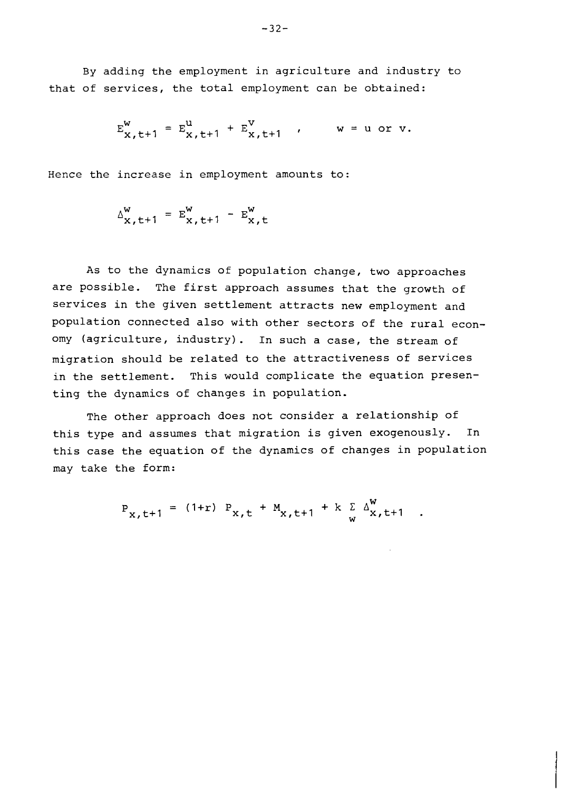By adding the employment in agriculture and industry to that of services, the total employment can be obtained:

$$
E_{x,t+1}^{w} = E_{x,t+1}^{u} + E_{x,t+1}^{v}
$$
,  $w = u$  or v.

Hence the increase in employment amounts to:

$$
\Delta_{x, t+1}^{w} = E_{x, t+1}^{w} - E_{x, t}^{w}
$$

As to the dynamics of population change, two approaches are possible. The first approach assumes that the growth of services in the given settlement attracts new employment and population connected also with other sectors of the rural economy (agriculture, industry). In such a case, the stream of migration should be related to the attractiveness of services in the settlement. This would complicate the equation presenting the dynamics of changes in population.

The other approach does not consider a relationship of this type and assumes that migration is given exogenously. In this case the equation of the dynamics of changes in population may take the form:

$$
P_{x,t+1} = (1+r) P_{x,t} + M_{x,t+1} + k \sum_{w} \Delta_{x,t+1}^{w}.
$$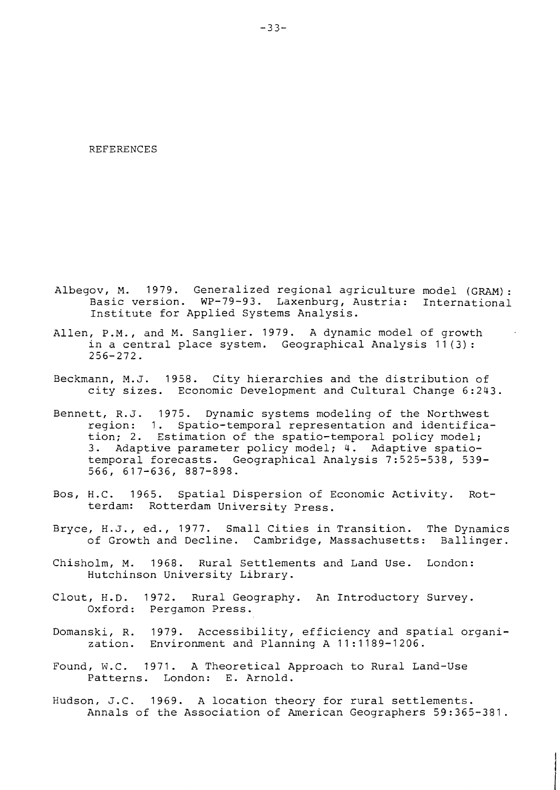REFERENCES

- Albegov, M. 1979. Generalized regional agriculture model (GRAM): Basic version. WP-79-93. Laxenburg, Austria: International Institute for Applied Systems Analysis.
- Allen, P.M., and M. Sanglier. 1979. A dynamic model of growth in a central place system. Geographical Analysis 11(3): 256-272.
- Beckmann, M.J. 1958. City hierarchies and the distribution of city sizes. Economic Development and Cultural Change 6:243.
- Bennett, R.J. 1975. Dynamic systems modeling of the Northwest region: 1. Spatio-temporal representation and identification; 2. Estimation of the spatio-temporal policy model; 3. Adaptive parameter policy model; 4. Adaptive spatiotemporal forecasts. Geographical Analysis 7:525-538, 539- 566, 617-636, 887-898.
- Bos, H.C. 1965. Spatial Dispersion of Economic Activity. Rot-<br>terdam: Rotterdam University Press. Rotterdam University Press.
- Bryce, H.J., ed., 1977. Small Cities in Transition. The Dynamics of Growth and Decline. Cambridge, Massachusetts: Ballinger.
- Chisholm, M. 1968. Rural Settlements and Land Use. London: Hutchinson University Library.
- Clout, H.D. 1972. Rural Geography. An Introductory Survey. Oxford: Pergamon Press.
- Domanski, R. 1979. Accessibility, efficiency and spatial organization. Environment and Planning A 11:1189-1206.
- Found, W.C. 1971. A Theoretical Approach to Rural Land-Use Patterns. London: E. Arnold.
- Hudson, J.C. 1969. A location theory for rural settlements. Annals of the Association of American Geographers 59:365-381.